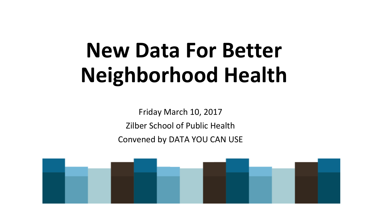# **New Data For Better Neighborhood Health**

Friday March 10, 2017 Zilber School of Public Health Convened by DATA YOU CAN USE

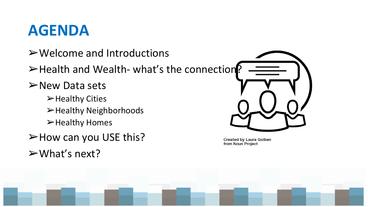### **AGENDA**

- ➢Welcome and Introductions
- ➢Health and Wealth- what's the connection?
- ➢New Data sets
	- ➢Healthy Cities ➢Healthy Neighborhoods ➢Healthy Homes
- ➢How can you USE this?
- $\triangleright$  What's next?



**Created by Laura Golben** from Noun Project

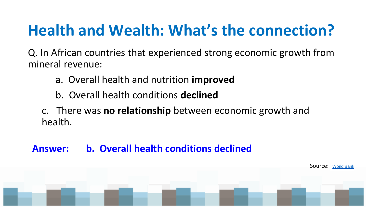## **Health and Wealth: What's the connection?**

Q. In African countries that experienced strong economic growth from mineral revenue:

- a. Overall health and nutrition **improved**
- b. Overall health conditions **declined**

c. There was **no relationship** between economic growth and health.

Source: [World Bank](https://mail.google.com/mail/u/0/Search Results [PDF]Health or Wealth: Which Comes First? - World Bank)

#### **Answer: b. Overall health conditions declined**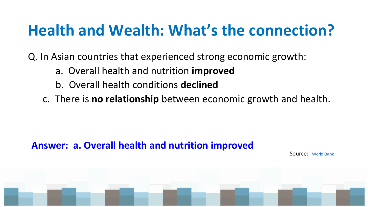## **Health and Wealth: What's the connection?**

Q. In Asian countries that experienced strong economic growth:

- a. Overall health and nutrition **improved**
- b. Overall health conditions **declined**
- c. There is **no relationship** between economic growth and health.

#### **Answer: a. Overall health and nutrition improved**

Source: [World Bank](https://mail.google.com/mail/u/0/Search Results [PDF]Health or Wealth: Which Comes First? - World Bank)

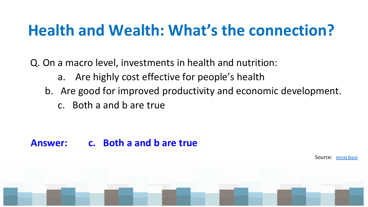## **Health and Wealth: What's the connection?**

Q. On a macro level, investments in health and nutrition:

- a. Are highly cost effective for people's health
- b. Are good for improved productivity and economic development.
	- c. Both a and b are true

#### **Answer: c. Both a and b are true**

Source: [World Bank](https://mail.google.com/mail/u/0/Search Results [PDF]Health or Wealth: Which Comes First? - World Bank)

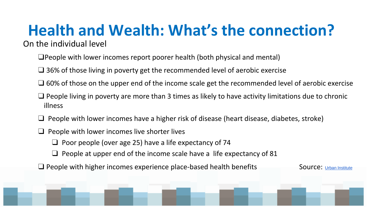#### **Health and Wealth: What's the connection?** On the individual level

- ❑People with lower incomes report poorer health (both physical and mental)
- ❑ 36% of those living in poverty get the recommended level of aerobic exercise
- ❑ 60% of those on the upper end of the income scale get the recommended level of aerobic exercise
- $\Box$  People living in poverty are more than 3 times as likely to have activity limitations due to chronic illness
- ❑ People with lower incomes have a higher risk of disease (heart disease, diabetes, stroke)
- $\Box$  People with lower incomes live shorter lives
	- $\Box$  Poor people (over age 25) have a life expectancy of 74
	- $\Box$  People at upper end of the income scale have a life expectancy of 81
- $\square$  People with higher incomes experience place-based health benefits  $\square$  Source: Urban Institute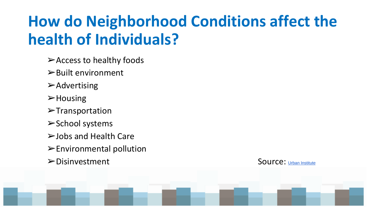## **How do Neighborhood Conditions affect the health of Individuals?**

- $\triangleright$  Access to healthy foods
- $\triangleright$  Built environment
- $\triangleright$  Advertising
- ➢Housing
- ➢Transportation
- ➢School systems
- ➢Jobs and Health Care
- ➢Environmental pollution
- ➢Disinvestment Source: Urban Institute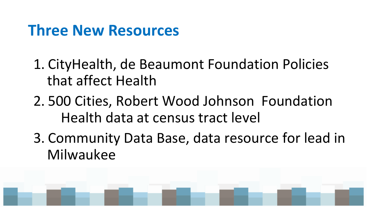### **Three New Resources**

- 1. CityHealth, de Beaumont Foundation Policies that affect Health
- 2. 500 Cities, Robert Wood Johnson Foundation Health data at census tract level
- 3. Community Data Base, data resource for lead in Milwaukee

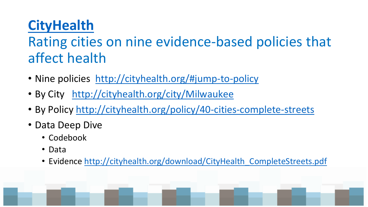### **[CityHealth](http://cityhealth.org/ )**

#### Rating cities on nine evidence-based policies that affect health

- Nine policies <http://cityhealth.org/#jump-to-policy>
- By City <http://cityhealth.org/city/Milwaukee>
- By Policy<http://cityhealth.org/policy/40-cities-complete-streets>
- Data Deep Dive
	- Codebook
	- Data
	- Evidence [http://cityhealth.org/download/CityHealth\\_CompleteStreets.pdf](http://cityhealth.org/download/CityHealth_CompleteStreets.pdf)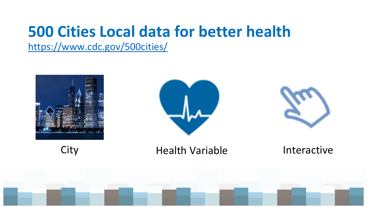## **500 Cities Local data for better health**

<https://www.cdc.gov/500cities/>







City **Health Variable** Interactive

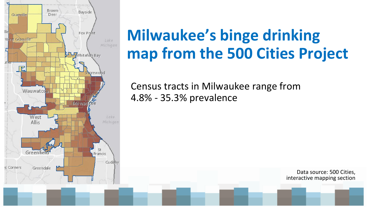

## **Milwaukee's binge drinking map from the 500 Cities Project**

Census tracts in Milwaukee range from 4.8% - 35.3% prevalence

> Data source: 500 Cities, interactive mapping section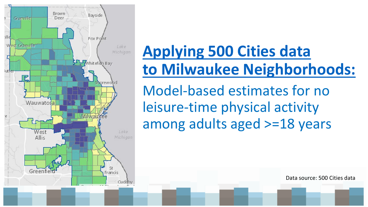

## **[Applying 500 Cities data](https://nccd.cdc.gov/500_Cities/rdPage.aspx?rdReport=DPH_500_Cities.InteractiveMap&islStates=59&islCategories=HLTHOUT&islMeasures=PHLTH) [to Milwaukee Neighborhoods:](https://nccd.cdc.gov/500_Cities/rdPage.aspx?rdReport=DPH_500_Cities.InteractiveMap&islStates=59&islCategories=HLTHOUT&islMeasures=PHLTH)**

Model-based estimates for no leisure-time physical activity among adults aged >=18 years

Data source: 500 Cities data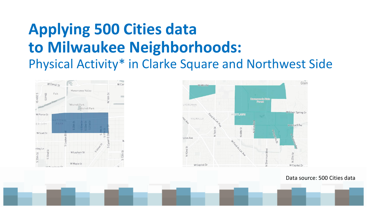### **Applying 500 Cities data to Milwaukee Neighborhoods:** Physical Activity\* in Clarke Square and Northwest Side





Data source: 500 Cities data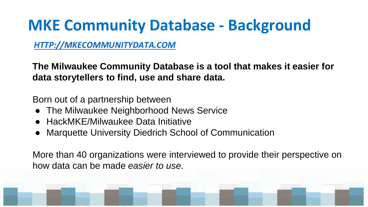### **MKE Community Database - Background**

#### *<HTTP://MKECOMMUNITYDATA.COM>*

**The Milwaukee Community Database is a tool that makes it easier for data storytellers to find, use and share data.**

Born out of a partnership between

- The Milwaukee Neighborhood News Service
- HackMKE/Milwaukee Data Initiative
- Marquette University Diedrich School of Communication

More than 40 organizations were interviewed to provide their perspective on how data can be made *easier to use*.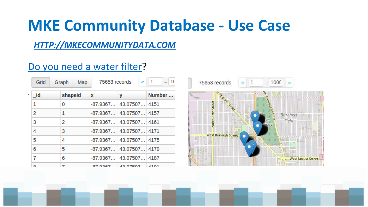### **MKE Community Database - Use Case**

#### *<HTTP://MKECOMMUNITYDATA.COM>*

#### [Do you need a water filter](goo.gl/5V1k8B)?

| Grid |  | Graph   | Map | 75653 records | $\alpha$                 | $-110$<br>$\mathbf{1}$ |
|------|--|---------|-----|---------------|--------------------------|------------------------|
| id   |  | shapeid |     | $\mathbf x$   | у                        | Number                 |
| 1    |  | 0       |     |               | $-87.9367$ 43.07507 4151 |                        |
| 2    |  | 1       |     |               | $-87.9367$ 43.07507 4157 |                        |
| 3    |  | 2       |     |               | $-87.9367$ 43.07507 4161 |                        |
| 4    |  | 3       |     |               | $-87.9367$ 43.07507 4171 |                        |
| 5    |  | 4       |     |               | $-87.9367$ 43.07507 4175 |                        |
| 6    |  | 5       |     |               | $-87.9367$ 43.07507 4179 |                        |
| 7    |  | 6       |     |               | $-87.9367$ 43.07507 4187 |                        |
| o    |  |         |     | ראמה דם       | 10.07507                 |                        |

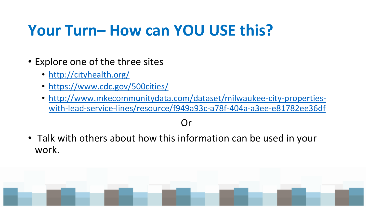### **Your Turn– How can YOU USE this?**

- Explore one of the three sites
	- <http://cityhealth.org/>
	- <https://www.cdc.gov/500cities/>
	- [http://www.mkecommunitydata.com/dataset/milwaukee-city-properties](http://www.mkecommunitydata.com/dataset/milwaukee-city-properties-with-lead-service-lines/resource/f949a93c-a78f-404a-a3ee-e81782ee36df)with-lead-service-lines/resource/f949a93c-a78f-404a-a3ee-e81782ee36df

#### Or

• Talk with others about how this information can be used in your work.

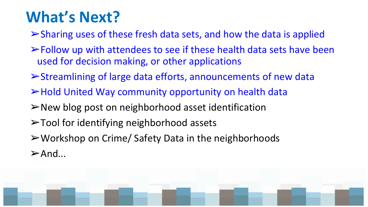## **What's Next?**

➢Sharing uses of these fresh data sets, and how the data is applied

- ➢Follow up with attendees to see if these health data sets have been used for decision making, or other applications
- ➢Streamlining of large data efforts, announcements of new data
- ➢Hold United Way community opportunity on health data
- ➢New blog post on neighborhood asset identification
- ➢Tool for identifying neighborhood assets
- ➢Workshop on Crime/ Safety Data in the neighborhoods

 $\triangleright$  And...

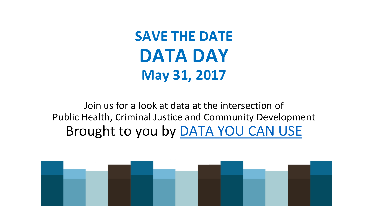**SAVE THE DATE DATA DAY May 31, 2017**

Join us for a look at data at the intersection of Public Health, Criminal Justice and Community Development Brought to you by [DATA YOU CAN USE](http://datayoucanuse.org/)